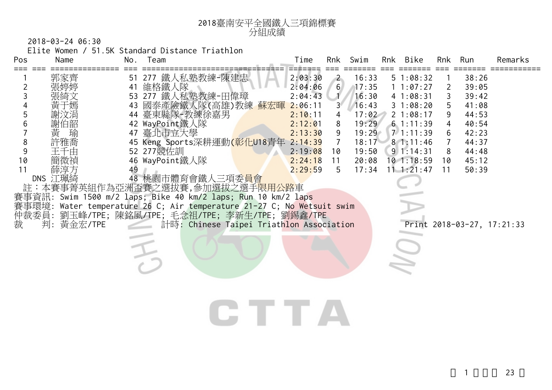

2018-03-24 06:30

Elite Women / 51.5K Standard Distance Triathlon

| Name                                                        | No.            | Team                                      | Time                                                                                                   | Rnk                                                                                                                                                                              | Swim                                                                                                                                      |                                                                                                                                               | Bike                                                                          | Rnk                                                                                                                                           | Run                                                                                             | Remarks                    |
|-------------------------------------------------------------|----------------|-------------------------------------------|--------------------------------------------------------------------------------------------------------|----------------------------------------------------------------------------------------------------------------------------------------------------------------------------------|-------------------------------------------------------------------------------------------------------------------------------------------|-----------------------------------------------------------------------------------------------------------------------------------------------|-------------------------------------------------------------------------------|-----------------------------------------------------------------------------------------------------------------------------------------------|-------------------------------------------------------------------------------------------------|----------------------------|
| 郭家齊<br>謝伯韶<br>黃<br>瑜<br>許雅喬<br>干:<br>上由<br>簡微禎<br>薛淳方<br>判: | 51<br>41<br>49 | 277 鐵人私塾教練-陳建忠<br>維格鐵人隊<br>277 鐵人私塾教練-田偉璋 | 2:06:11<br>2:10:11<br>2:29:59                                                                          | $\overline{2}$<br>$3^{\circ}$<br>8<br>9<br>$\overline{7}$<br>10<br>11<br>5                                                                                                       | 16:33                                                                                                                                     |                                                                                                                                               | <b>STATISTICS</b>                                                             | 2<br>5<br>9<br>4<br>6<br>8<br>10<br>11                                                                                                        | 38:26<br>39:05<br>39:42<br>41:08<br>44:53<br>40:54<br>42:23<br>44:37<br>44:48<br>45:12<br>50:39 |                            |
|                                                             |                |                                           |                                                                                                        |                                                                                                                                                                                  |                                                                                                                                           |                                                                                                                                               |                                                                               |                                                                                                                                               |                                                                                                 |                            |
|                                                             | DNS 江珮綺        | 黃金宏/TPE                                   | 53<br>44 臺東縣隊-教練徐嘉男<br>42 WayPoint鐵人隊<br>47 臺北市立大學<br>52 277 競佐訓<br>46 WayPoint鐵人隊<br>48 桃園市體育會鐵人三項委員會 | 43 國泰產險鐵人隊(高雄)教練 蘇宏暉<br>45 Keng Sports深耕運動(彰化U18青年<br>註:本賽事菁英組作為亞洲盃賽之選拔賽,參加選拔之選手 <mark>限用公路</mark> 車<br>賽事資訊: Swim 1500 m/2 laps; Bike 40 km/2 laps; Run 10 km/2 laps<br>LE TE J | 2:03:30<br>2:04:06<br>2:04:43<br>2:12:01<br>2:13:30<br>2:14:39<br>2:19:08<br>2:24:18<br>仲裁委員: 劉玉峰/TPE; 陳銘風/TPE; 毛念祖/TPE; 李新生/TPE; 劉錫鑫/TPE | 6 <sup>1</sup><br>17:35<br>賽事環境: Water temperature 26 C; Air temperature 21-27 C; No Wetsuit swim<br>計時: Chinese Taipei Triathlon Association | 16:30<br>16:43<br>17:02<br>19:29<br>19:29<br>18:17<br>19:50<br>20:08<br>17:34 | Rnk<br>51:08:32<br>1 1:07:27<br>41:08:31<br>31:08:20<br>21:08:17<br>71:11:39<br>81:11:46<br>$9 \ 1:14:31$<br>$10$ 1:18:59<br>$11 \t1: 21: 47$ | 61:11:39                                                                                        | Print 2018-03-27, 17:21:33 |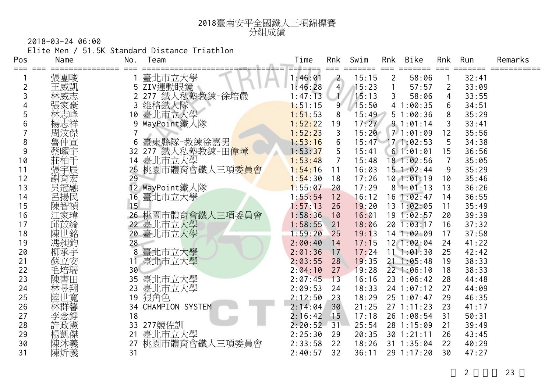

2018-03-24 06:00

Elite Men / 51.5K Standard Distance Triathlon

| Pos | Name | No. | Team               | Time    | Rnk            | Swim  | <b>Rnk</b>     | Bike           | Rnk            | Run   | Remarks |
|-----|------|-----|--------------------|---------|----------------|-------|----------------|----------------|----------------|-------|---------|
|     | 張團畯  |     | 臺北市立大學             | 1:46:01 | $\overline{2}$ | 15:15 | $\overline{2}$ | 58:06          |                | 32:41 |         |
|     | 王威凱  |     | 5 ZIV運動眼鏡          | 1:46:28 | $\overline{4}$ | 15:23 |                | 57:57          | 2              | 33:09 |         |
| 3   | 林威志  |     | 鐵人私塾教練-徐培嚴<br>277  | 1:47:13 |                | 15:13 | 3              | 58:06          | 4              | 33:55 |         |
|     | 張家豪  |     | 維格鐵人隊              | 1:51:15 | 9              | 15:50 |                | 41:00:35       | 6              | 34:51 |         |
| 5   | 林志峰  | 10  | 臺北市立大學             | 1:51:53 | 8              | 15:49 |                | 51:00:36       | 8              | 35:29 |         |
|     | 楊志祥  | 9   | WayPoint鐵人隊        | 1:52:22 | 19             | 17:27 |                | 91:01:14       | 3              | 33:41 |         |
|     | 周汶傑  | 7   |                    | 1:52:23 | 3              | 15:20 |                | 71:01:09       | 12             | 35:56 |         |
| 8   | 魯仲宣  | 6   | 臺東縣隊-教練徐嘉男         | 1:53:16 | 6              | 15:47 |                | 171:02:53      | 5              | 34:38 |         |
| 9   | 蔡曜宇  | 32  | 鐵人私塾教練-田偉璋<br>277  | 1:53:37 | 5              | 15:41 |                | 61:01:01       | 15             | 36:56 |         |
| 10  | 莊柏千  | 14  | 臺北市立大學             | 1:53:48 | 7              | 15:48 |                | 18 1:02:56     | $\overline{7}$ | 35:05 |         |
| 11  | 張宇辰  | 25  | 桃園市體育會鐵人三項委員會      | 1:54:16 | 11             | 16:03 |                | $15$ 1:02:44   | 9              | 35:29 |         |
| 12  | 謝育宏  | 29  |                    | 1:54:30 | 18             | 17:26 |                | 101:01:19      | 10             | 35:46 |         |
| 13  | 吳冠融  | 12  | WayPoint鐵人隊        | 1:55:07 | 20             | 17:29 |                | 81:01:13       | 13             | 36:26 |         |
| 14  | 呂揚民  | 16  | 臺北市立大學             | 1:55:54 | 12             | 16:12 |                | $16$ 1:02:47   | 14             | 36:55 |         |
| 15  | 陳智禎  | 15  |                    | 1:57:13 | 26             | 19:20 |                | 13 1:02:05     | 11             | 35:49 |         |
| 16  | 江家瑋  |     | 26 桃園市體育會鐵人三項委員會   | 1:58:36 | 10             | 16:01 |                | 19 1:02:57     | 20             | 39:39 |         |
| 17  | 邱苡綸  |     | 22 臺北市立大學          | 1:58:55 | 21             | 18:06 |                | 20 1:03:17     | 16             | 37:32 |         |
| 18  | 陳世銘  | 20  | 臺北市立大學             | 1:59:20 | 25             | 19:13 |                | 14 1:02:09     | 17             | 37:58 |         |
| 19  | 馮昶鈞  | 28  |                    | 2:00:40 | 14             | 17:15 |                | 12 1:02:04     | 24             | 41:22 |         |
| 20  | 柳承宇  | 8   | 臺北市立大學             | 2:01:36 | 17             | 17:24 |                | 111:01:30      | 25             | 42:42 |         |
| 21  | 蘇立安  | 11  | 臺北市立大學             | 2:03:55 | 28             | 19:35 |                | $21 \t1:05:48$ | 19             | 38:33 |         |
| 22  | 毛培瑞  | 30  |                    | 2:04:10 | 27             | 19:28 |                | 22 1:06:10     | 18             | 38:33 |         |
| 23  | 陳書田  | 35  | 臺北市立大學             | 2:07:45 | 13             | 16:16 |                | 23 1:06:42     | 28             | 44:48 |         |
| 24  | 林昱翔  | 23  | 臺北市立大學             | 2:09:53 | 24             | 18:33 |                | 24 1:07:12     | 27             | 44:09 |         |
| 25  | 陸世寬  |     | 19 狠角色             | 2:12:50 | 23             | 18:29 |                | 25 1:07:47     | 29             | 46:35 |         |
| 26  | 林群馨  |     | 34 CHAMPION SYSTEM | 2:14:04 | 30             | 21:25 |                | 271:11:23      | 23             | 41:17 |         |
| 27  | 李念錚  | 18  |                    | 2:16:42 | 15             | 17:18 |                | 26 1:08:54     | 31             | 50:31 |         |
| 28  | 許政憲  | 33  | 277競佐訓             | 2:20:52 | 31             | 25:54 |                | 28 1:15:09     | 21             | 39:49 |         |
| 29  | 楊凱傑  | 21  | 臺北市立大學             | 2:25:30 | 29             | 20:35 |                | 30 1:21:11     | 26             | 43:45 |         |
| 30  | 陳沐義  | 27  | 桃園市體育會鐵人三項委員會      | 2:33:58 | 22             | 18:26 |                | 31 1:35:04     | 22             | 40:29 |         |
| 31  | 陳炘義  | 31  |                    | 2:40:57 | 32             | 36:11 |                | 29 1:17:20     | 30             | 47:27 |         |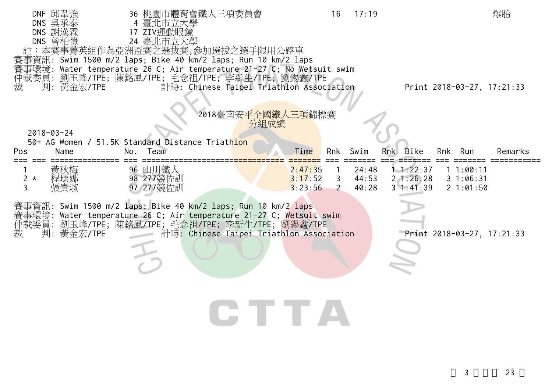| DNF 邱韋強             | 36 桃園市體育會鐵人三項委員會                                                                                 | 16                 | 17:19                   | 爆胎                                            |
|---------------------|--------------------------------------------------------------------------------------------------|--------------------|-------------------------|-----------------------------------------------|
| DNS 吳承泰<br>DNS 謝漢霖  | 4 臺北市立大學<br>17 ZIV運動眼鏡                                                                           |                    |                         |                                               |
| DNS 曾柏愷             | 24 臺北市立大學                                                                                        |                    |                         |                                               |
|                     | 註:本賽事菁英組作為亞洲盃賽之選拔賽,參加選拔之選手限用公路車<br>賽事資訊: Swim 1500 m/2 laps; Bike 40 km/2 laps; Run 10 km/2 laps |                    |                         |                                               |
|                     | 事環境: Water temperature 26 C; Air temperature 21-27 C; No Wetsuit swim                            |                    |                         |                                               |
| 裁<br>判:黃金宏/TPE      | 仲裁委員: 劉玉峰/TPE; 陳銘風/TPE; 毛念祖/TPE; 李新生/TPE; 劉錫鑫/TPE<br>計時: Chinese Taipei Triathlon Association    |                    |                         | Print 2018-03-27, 17:21:33                    |
|                     |                                                                                                  |                    |                         |                                               |
|                     |                                                                                                  | 2018臺南安平全國鐵人三項錦標賽  |                         |                                               |
|                     |                                                                                                  | 分組成績               |                         |                                               |
| $2018 - 03 - 24$    |                                                                                                  |                    |                         |                                               |
| Pos<br>Name         | 50+ AG Women / 51.5K Standard Distance Triathlon<br>Team<br>No.                                  | Time<br>Rnk        | Swim                    | Rnk Bike<br>Rnk Run<br>Remarks                |
|                     |                                                                                                  |                    |                         |                                               |
| 黃秋梅<br>程瑪娜<br>$2 *$ | 96 山川鐵人<br>98 277競佐訓                                                                             | 2:47:35<br>3:17:52 | 24:48<br>3, 44:53       | 1.1:22:37<br>11:00:11<br>21:26:28<br>31:06:31 |
| 3<br>張貴淑            | 97 277競佐訓                                                                                        | 3:23:56            | 40:28<br>$\overline{2}$ | $3 \t1:41:39$<br>21:01:50                     |
|                     | 賽事資訊: Swim 1500 m/2 laps; Bike 40 km/2 laps; Run 10 km/2 laps                                    |                    |                         |                                               |
|                     | 賽事環境: Water temperature 26 C; Air temperature 21-27 C; Wetsuit swim                              |                    |                         |                                               |
| 裁<br>判:黃金宏/TPE      | 仲裁委員: 劉玉峰/TPE; 陳銘風/TPE; 毛念祖/TPE; 李新生/TPE; 劉錫鑫/TPE<br>計時: Chinese Taipei Triathlon Association    |                    |                         | Print 2018-03-27, 17:21:33                    |
|                     |                                                                                                  |                    |                         |                                               |
|                     |                                                                                                  |                    |                         |                                               |
|                     |                                                                                                  |                    |                         |                                               |
|                     |                                                                                                  |                    |                         |                                               |
|                     |                                                                                                  |                    |                         |                                               |
|                     |                                                                                                  | FT A               |                         |                                               |
|                     |                                                                                                  |                    |                         |                                               |
|                     |                                                                                                  |                    |                         |                                               |
|                     |                                                                                                  |                    |                         |                                               |
|                     |                                                                                                  |                    |                         |                                               |
|                     |                                                                                                  |                    |                         | 3<br>23                                       |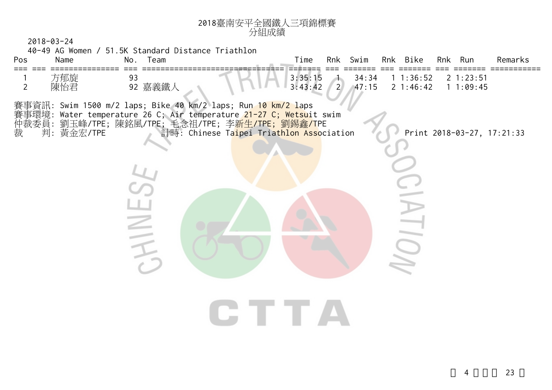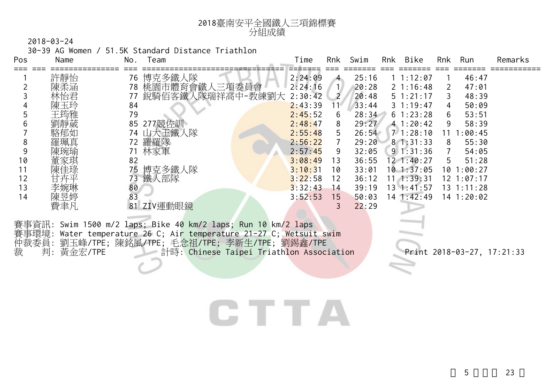

30-39 AG Women / 51.5K Standard Distance Triathlon

| Pos                        | Name | No. | Team                                                    | Time    | Rnk            | Swim  | Rnk | Bike               | Rnk | Run            | Remarks |
|----------------------------|------|-----|---------------------------------------------------------|---------|----------------|-------|-----|--------------------|-----|----------------|---------|
|                            | 許靜怡  | 76  | 博克多鐵人隊                                                  | 2:24:09 | $\overline{4}$ | 25:16 |     | 1 1:12:07          |     | 46:47          |         |
|                            | 陳柔涵  |     |                                                         |         | $\mathbf{1}$   | 20:28 |     | $2 \; 1:16:48$     |     | 47:01          |         |
|                            | 林怡君  |     | 78 桃園市體育會鐵人三項委員會 2:24:16<br>77 銳騎佰客鐵人隊瑞祥高中-教練劉大 2:30:42 |         | 2              | 20:48 |     | $5 \t1:21:17$      |     | 48:39          |         |
|                            | 陳玉玲  | 84  |                                                         | 2:43:39 | $11^{\circ}$   | 33:44 |     | $3 \t1:19:47$      | 4   | 50:09          |         |
|                            | 王筠雅  | 79  |                                                         | 2:45:52 | 6              | 28:34 |     | 61:23:28           | 6   | 53:51          |         |
|                            | 劉靜葳  | 85  | 277競佐訓                                                  | 2:48:47 | 8              | 29:27 |     | 41:20:42           | 9   | 58:39          |         |
|                            | 駱郁如  |     | 74 山大王鐵人隊                                               | 2:55:48 | 5.             | 26:54 |     | 71:28:10           |     | 1:00:45        |         |
| 8                          | 羅珮真  | 72. | 羅羅隊                                                     | 2:56:22 |                | 29:20 |     | 81:31:33           | 8   | 55:30          |         |
|                            | 陳琬瑜  |     | 林家軍                                                     | 2:57:45 | 9              | 32:05 |     | $9 \mid 1:31:36$   |     | 54:05          |         |
| 10                         | 董家琪  | 82  |                                                         | 3:08:49 | 13             | 36:55 |     | $12 \cdot 1:40:27$ | 5.  | 51:28          |         |
| 11                         | 陳佳琭  | 75  | 博克多鐵人隊                                                  | 3:10:31 | 10             | 33:01 |     | 101:37:05          | 10  | 1:00:27        |         |
| 12                         | 甘卉平  | 73  | 鐵人部隊                                                    | 3:22:58 | 12             | 36:12 |     | $11 \quad 1:39:31$ |     | 12 1:07:17     |         |
| 13                         | 李婉琳  | 80  |                                                         | 3:32:43 | 14             | 39:19 |     | $13 \t1:41:57$     |     | $13 \t1:11:28$ |         |
| 14                         | 陳昱婷  | 83  |                                                         | 3:52:53 | 15             | 50:03 |     | $14$ 1:42:49       |     | $14$ 1:20:02   |         |
|                            | 費聿凡  | 81  | ZIV運動眼鏡                                                 |         | 3              | 22:29 |     |                    |     |                |         |
| المواد والمتعامل والمستحدث |      |     |                                                         |         |                |       |     |                    |     |                |         |

賽事資訊: Swim 1500 m/2 laps; Bike 40 km/2 laps; Run 10 km/2 laps 賽事環境: Water temperature 26 C; Air temperature 21-27 C; Wetsuit swim 仲裁委員: 劉玉峰/TPE; 陳銘風/TPE; 毛念祖/TPE; 李新生/TPE; 劉錫鑫/TPE 裁 判: 黃金宏/TPE 計時: Chinese Taipei Triathlon Association Print 2018-03-27, 17:21:33

## CTTA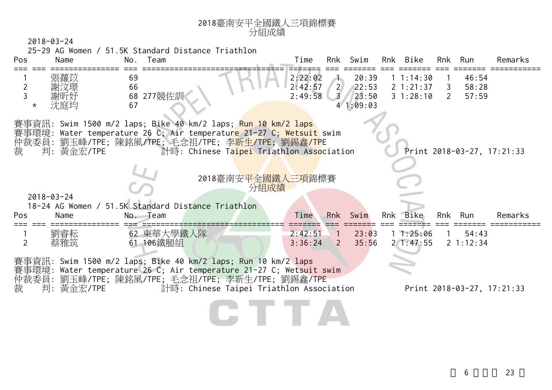|                | $2018 - 03 - 24$ |          |            |                                                                                   | 分組成績 |         |                              |                   |           |                |                        |                            |
|----------------|------------------|----------|------------|-----------------------------------------------------------------------------------|------|---------|------------------------------|-------------------|-----------|----------------|------------------------|----------------------------|
|                |                  |          |            | 25-29 AG Women / 51.5K Standard Distance Triathlon                                |      |         |                              |                   |           |                |                        |                            |
| Pos            | Name             |          | No. Team   |                                                                                   |      | Time    |                              | Rnk Swim          | Rnk Bike  | Rnk Run        |                        | Remarks                    |
|                | 張蘿苡              | 69       |            |                                                                                   |      | 2:22:02 |                              | 20:39             | 11:14:30  |                | 46:54                  |                            |
| $\overline{2}$ | 謝汶璟              | 66       |            |                                                                                   |      | 2:42:57 | $\overline{2}$               | 22:53             | 2 1:21:37 | 3              | 58:28                  |                            |
| $^\star$       | 沈庭均              | 68<br>67 | 277競佐訓     |                                                                                   |      | 2:49:58 |                              | 23:50<br>41:09:03 | 31:28:10  | $\overline{2}$ | 57:59                  |                            |
|                |                  |          |            | 賽事資訊: Swim 1500 m/2 laps; Bike 40 km/2 laps; <mark>Run 10 km/2 laps</mark>        |      |         |                              |                   |           |                |                        |                            |
|                |                  |          |            | 賽事環境: Water temperature 26 C; Air temperatur <mark>e 21-27 C; Wetsuit</mark> swim |      |         |                              |                   |           |                |                        |                            |
|                |                  |          |            | 仲裁委員: 劉玉峰/TPE; 陳銘風/TPE; 毛念祖/TPE; 李新生/TPE; 劉錫鑫/TPE                                 |      |         |                              |                   |           |                |                        |                            |
| 裁              | 判: 黃金宏/TPE       |          |            | 計時: Chinese Taipei Triathlon Association                                          |      |         |                              |                   |           |                |                        | Print 2018-03-27, 17:21:33 |
|                |                  |          |            |                                                                                   |      |         |                              |                   |           |                |                        |                            |
|                |                  |          |            |                                                                                   |      |         |                              |                   |           |                |                        |                            |
|                |                  |          |            |                                                                                   |      |         |                              |                   |           |                |                        |                            |
|                |                  |          |            | 2018臺南安 <mark>平全國鐵人三項</mark> 錦標賽<br>分組成績                                          |      |         |                              |                   |           |                |                        |                            |
|                | $2018 - 03 - 24$ |          |            |                                                                                   |      |         |                              |                   |           |                |                        |                            |
|                | Name             |          | No. Team   | 18-24 AG Women / 51.5K Standard Distance Triathlon                                |      | Time    | Rnk                          | Swim              | Rnk Bike  | Rnk            | Run                    | Remarks                    |
|                |                  |          |            |                                                                                   |      |         |                              |                   |           |                |                        |                            |
|                | 劉睿耘              |          | 62 東華大學鐵人隊 |                                                                                   |      | 2:42:51 | $\overline{1}$<br>$\sqrt{2}$ | 23:03             | 11:25:06  |                | 54:43<br>$2 \t1:12:34$ |                            |
| $\overline{2}$ | 蔡雅筑              |          | 61 106鐵腿組  |                                                                                   |      | 3:36:24 |                              | 35:56             | 21:47:55  |                |                        |                            |
|                |                  |          |            | 賽事資訊: Swim 1500 m/2 laps; Bike 40 km/2 laps; Run 10 km/2 laps                     |      |         |                              |                   |           |                |                        |                            |
|                |                  |          |            | 賽事環境: Water temperature 26 C; Air temperature 21-27 C; Wetsuit swim               |      |         |                              |                   |           |                |                        |                            |
|                |                  |          |            | 仲裁委員: 劉玉峰/TPE; 陳銘風/TPE; 毛念祖/TPE; 李新生/TPE; 劉錫鑫/TPE                                 |      |         |                              |                   |           |                |                        |                            |
| Pos<br>裁       | 判: 黃金宏/TPE       |          |            | 計時: Chinese Taipei Triathlon Association                                          |      |         |                              |                   |           |                |                        | Print 2018-03-27, 17:21:33 |
|                |                  |          |            |                                                                                   |      |         |                              |                   |           |                |                        |                            |

<sup>2018</sup>臺南安平全國鐵人三項錦標賽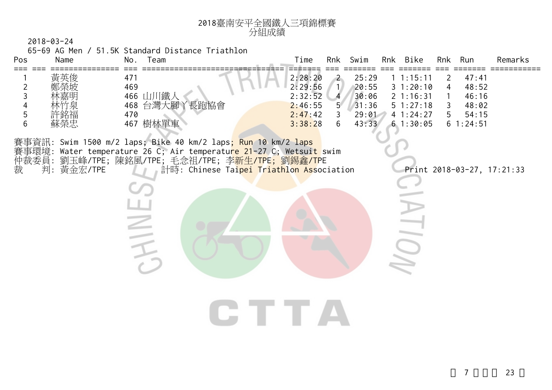

65-69 AG Men / 51.5K Standard Distance Triathlon

**SINTS** 

| Pos                                                                                                             | Name                                                           | No.<br>eam                                                         | Time                                    | Rnk     | Rnk<br>Swim             | Bike                                  | Rnk<br>Run                      | Remarks |
|-----------------------------------------------------------------------------------------------------------------|----------------------------------------------------------------|--------------------------------------------------------------------|-----------------------------------------|---------|-------------------------|---------------------------------------|---------------------------------|---------|
|                                                                                                                 | 黃英俊<br>鄭榮坡<br>林嘉明                                              | 47 <sup>′</sup><br>469<br> 鐵人<br>466                               | 2:28:20<br>2:29:56<br>2:32:52           |         | 25:29<br>20:55<br>30:06 | :15:11<br>31:20:10<br>$2 \t1:16:31$   | 47:41<br>48:52<br>4<br>46:16    |         |
| $\rightarrow$ $\rightarrow$ $\rightarrow$ $\rightarrow$ $\rightarrow$ $\rightarrow$ $\rightarrow$ $\rightarrow$ | 林竹泉<br>許銘福<br>蘇榮忠<br>$\sim$ $\sim$ $\sim$ $\sim$ $\sim$ $\sim$ | 台灣大腳<br>長跑協會<br>468<br>$\checkmark$<br>470<br>樹林單車<br>467<br>- - - | 2:46:55<br>2:47:42<br>3:38:28<br>.<br>. | 5.<br>h | 31:36<br>29:01<br>43:33 | $5 \t1:27:18$<br>41:24:27<br>61:30:05 | 48:02<br>54:15<br>$6 \t1:24:51$ |         |

**CTTA** 

賽事資訊: Swim 1500 m/2 laps; Bike 40 km/2 laps; Run 10 km/2 laps 賽事環境: Water temperature 26 C; Air temperature 21-27 C; Wetsuit swim 仲裁委員: 劉玉峰/TPE; 陳銘風/TPE; 毛念祖/TPE; 李<mark>新生/TPE; 劉錫鑫/T</mark>PE 裁 判: 黃金宏/TPE 計時: Chinese Ta<mark>ipei Triathlon Ass</mark>ociation Print 2018-03-27, 17:21:33

 $\frac{1}{2}$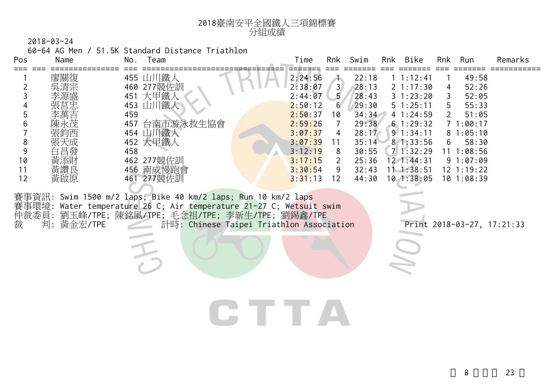

60-64 AG Men / 51.5K Standard Distance Triathlon

| Pos | Name | No. | Team       | Time    | Rnk            | Swim  | <b>Rnk</b> | Bike              | Rnk | Run        | Remarks |
|-----|------|-----|------------|---------|----------------|-------|------------|-------------------|-----|------------|---------|
|     |      |     |            |         |                |       |            |                   |     |            |         |
|     | 廖關復  |     | 455 山川鐵人   | 2:24:56 |                | 22:18 |            | $1 \; 1:12:41$    |     | 49:58      |         |
|     | 吳清宗  |     | 460 277競佐訓 | 2:38:07 | 3 <sup>1</sup> | 28:13 |            | $2 \t1:17:30$     | 4   | 52:26      |         |
|     | 李源盛  | 451 | 大甲鐵        | 2:44:07 | 5              | 28:43 |            | $3 \; 1:23:20$    |     | 52:05      |         |
|     | 張莒忠  | 453 | 「鐵人        | 2:50:12 | $6^{\circ}$    | 29:30 |            | 51:25:11          | 5   | 55:33      |         |
|     | 李萬吉  | 459 |            | 2:50:37 | 10             | 34:34 |            | 41:24:59          |     | 51:05      |         |
|     | 陳永茂  | 457 | 台南市游泳救生協會  | 2:59:26 |                | 29:38 |            | 61:29:32          |     | 1:00:17    |         |
|     | 張鈞西  | 454 | 「 鐵人       | 3:07:37 | 4              | 28:17 |            | $9 \cdot 1:34:11$ |     | 81:05:10   |         |
| 8   | 張天成  |     | 452 大甲鐵人   | 3:07:39 | 11             | 35:14 |            | 81:33:56          | 6   | 58:30      |         |
|     | 白昌發  | 458 |            | 3:12:19 | 8              | 30:55 |            | 71:32:29          |     | 1:08:56    |         |
| 10  | 黃添財  | 462 | 277競佐訓     | 3:17:15 |                | 25:36 |            | 12 1:44:31        |     | 91:07:09   |         |
| 11  | 黃讚良  | 456 | 南成慢跑會      | 3:30:54 | 9              | 32:43 | 11-        | 1:38:51           |     | 12 1:19:22 |         |
| 12  | 黃啟原  | 461 | 277競佐訓     | 3:31:13 | 12             | 44:30 |            | $10$ 1:38:05      | 10  | 1:08:39    |         |

CTTA

賽事資訊: Swim 1500 m/2 laps; Bike 40 km/2 laps; Run 10 km/2 laps 賽事環境: Water temperature 26 C; Air temperature 21-27 C; Wetsuit swim 仲裁委員: 劉玉峰/TPE; 陳銘風/TPE; 毛念祖/TPE; 李新生/TPE; 劉錫鑫/TPE 裁 判: 黃金宏/TPE 計時: Chinese Taipei Triathlon Association Print 2018-03-27, 17:21:33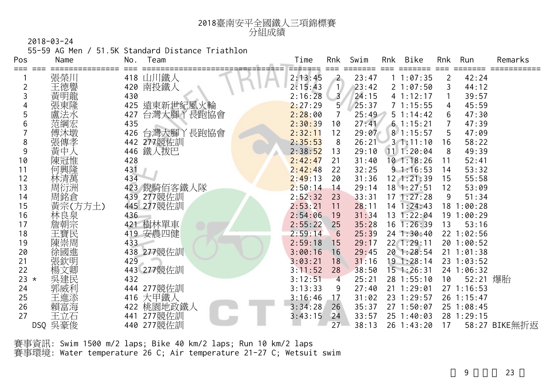

55-59 AG Men / 51.5K Standard Distance Triathlon

| Pos        | Name    | No.<br>Team    | Time    | Rnk             | Swim  | Rnk | Bike            | Rnk | Run            | Remarks       |
|------------|---------|----------------|---------|-----------------|-------|-----|-----------------|-----|----------------|---------------|
| $===$      | 張榮川     | 418 山川鐵人       | 2:13:45 | $\sim$          | 23:47 |     | 11:07:35        | 2   | 42:24          |               |
|            | 王德譽     | 420 南投鐵人       | 2:15:43 | $\mathbf{1}$    | 23:42 |     | 21:07:50        | 3   | 44:12          |               |
|            | 黃明龍     | 430            | 2:16:28 | $\overline{3}$  | 24:15 |     | 4 1:12:17       |     | 39:57          |               |
|            | 張東隆     | 425 遠東新世紀風火輪   | 2:27:29 | 5.              | 25:37 |     | 71:15:55        | 4   | 45:59          |               |
| 5          | 盧法水     | 427 台灣大腳丫長跑協會  | 2:28:00 | 7               | 25:49 |     | $5 \t1:14:42$   | 6   | 47:30          |               |
| 6          | 范綱宏     | 435            | 2:30:39 | 10              | 27:41 |     | 61:15:21        |     | 47:39          |               |
|            | 傅沐墩     | 426 台灣大腳丫長跑協會  | 2:32:11 | 12              | 29:07 |     | $8 \t1:15:57$   | 5   | 47:09          |               |
| 8          | 張傳孝     | 442 277競佐訓     | 2:35:53 | 8               | 26:21 |     | $3 \t1:11:10$   | 16  | 58:22          |               |
| 9          | 黃中人     | 446 鐵人拔巴       | 2:38:52 | 13              | 29:10 |     | $11$ 1:20:04    | 8   | 49:39          |               |
| 10         | 陳冠惟     | 428            | 2:42:47 | 21              | 31:40 |     | $10$ 1:18:26    | 11  | 52:41          |               |
| 11         | 何興隆     | 431            | 2:42:48 | 22              | 32:25 |     | 91:16:53        | 14  | 53:32          |               |
| 12         | 林清萬     | 434            | 2:49:13 | 20              | 31:36 |     | $12$ $1:21:39$  | 15  | 55:58          |               |
| 13         | 周衍洲     | 鋭騎佰客鐵人隊<br>423 | 2:50:14 | 14              | 29:14 |     | $18$ 1:27:51    | 12  | 53:09          |               |
| 14         | 周銘倉     | 439 277競佐訓     | 2:52:32 | 23              | 33:31 |     | $17 \; 1:27:28$ | 9   | 51:34          |               |
| 15         | 黃宗(方方土) | 445 277競佐訓     | 2:53:21 | 11              | 28:11 |     | 14 1:24:43      | 18  | 1:00:28        |               |
| 16         | 林良泉     | 436            | 2:54:06 | 19              | 31:34 |     | 13 1:22:04      |     | 19 1:00:29     |               |
| 17         | 詹朝宗     | 421 樹林單車       | 2:55:22 | 25              | 35:28 |     | $16$ 1:26:39    | 13  | 53:16          |               |
| 18         | 王寶民     | 419 安農四健       | 2:59:14 | $6\phantom{1}6$ | 25:39 |     | 24 1:30:40      |     | 22 1:02:56     |               |
| 19         | 陳崇周     | 433            | 2:59:18 | 15              | 29:17 |     | 22 1:29:11      |     | 20 1:00:52     |               |
| 20         | 徐國進     | 438 277競佐訓     | 3:00:16 | 16              | 29:45 |     | 20 1:28:54      |     | $21 \t1:01:38$ |               |
| 21         | 張欽明     | 429            | 3:03:21 | 18              | 31:16 |     | $19$ 1:28:14    |     | 23 1:03:52     |               |
| 22         | 楊文卿     | 443 277競佐訓     | 3:11:52 | 28              | 38:50 |     | $15$ 1:26:31    |     | 24 1:06:32     |               |
| 23 $\star$ | 吳建民     | 432            | 3:12:51 | $\overline{4}$  | 25:21 |     | 28 1:55:10      | 10  | 52:21 爆胎       |               |
| 24         | 郭威利     | 444 277競佐訓     | 3:13:33 | 9               | 27:40 |     | 21 1:29:01      |     | 27 1:16:53     |               |
| 25         | 王進添     | 416 大甲鐵人       | 3:16:46 | 17              | 31:02 |     | 23 1:29:57      |     | 26 1:15:47     |               |
| 26         | 賴富海     | 422 桃園地政鐵人     | 3:34:28 | 26              | 35:37 |     | 27 1:50:07      |     | 25 1:08:45     |               |
| 27         | 王立石     | 277競佐訓<br>441  | 3:43:15 | 24              | 33:57 |     | $25 \t1:40:03$  |     | 28 1:29:15     |               |
|            | DSQ 吳豪俊 | 440 277競佐訓     |         | 27              | 38:13 |     | 26 1:43:20      | 17  |                | 58:27 BIKE無折返 |

賽事資訊: Swim 1500 m/2 laps; Bike 40 km/2 laps; Run 10 km/2 laps 賽事環境: Water temperature 26 C; Air temperature 21-27 C; Wetsuit swim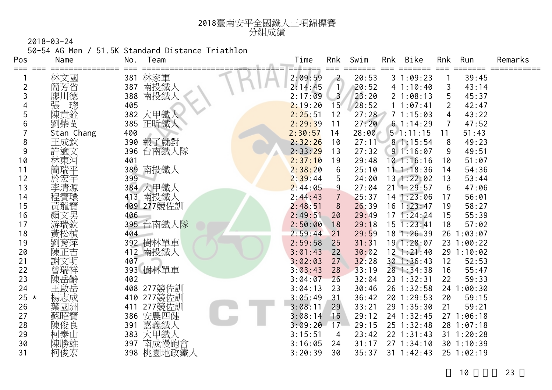

50-54 AG Men / 51.5K Standard Distance Triathlon

| Pos        | Name       | No. | Team       | Time<br>======= | Rnk             | Swim  | Rnk | Bike<br>⋍⋍⋍⋍⋍  | Rnk | Run            | Remarks |
|------------|------------|-----|------------|-----------------|-----------------|-------|-----|----------------|-----|----------------|---------|
| ≔≔≕        | 林文國        | 381 | 林家軍        | 2:09:59         | $\overline{2}$  | 20:53 |     | 31:09:23       |     | 39:45          |         |
| 2          | 簡芳省        |     | 387 南投鐵人   | 2:14:45         | $\vert$         | 20:52 |     | 41:10:40       | 3   | 43:14          |         |
| 3          | 自德<br>廖丿   | 388 | 南投鐵人       | 2:17:09         | $\overline{3}$  | 23:20 |     | 21:08:13       | 5   | 45:37          |         |
|            | 張<br>璁     | 405 |            | 2:19:20         | 15 <sup>°</sup> | 28:52 |     | 1 1:07:41      | 2   | 42:47          |         |
| 5          | 陳賁銓        |     | 382 大甲鐵人   | 2:25:51         | 12              | 27:28 |     | 71:15:03       | 4   | 43:22          |         |
| 6          | 劉柴閏        |     | 385 正昕鐵人   | 2:29:39         | 11              | 27:20 |     | 61:14:29       | 7   | 47:52          |         |
|            | Stan Chang | 400 |            | 2:30:57         | 14              | 28:00 |     | $5 \t1:11:15$  | 11  | 51:43          |         |
| 8          | 王成欽        | 390 | 報了就對       | 2:32:26         | 10              | 27:11 |     | 8 1:15:54      | 8   | 49:23          |         |
| 9          | 許適文        | 396 | 台南鐵人隊      | 2:33:29         | 13              | 27:32 |     | 91:16:07       | 9   | 49:51          |         |
| 10         | 林東河        | 401 |            | 2:37:10         | 19              | 29:48 |     | $10$ 1:16:16   | 10  | 51:07          |         |
| 11         | 簡瑞平        | 389 | 南投鐵人       | 2:38:20         | 6               | 25:10 |     | $11 \t1:18:36$ | 14  | 54:36          |         |
| 12         |            | 399 |            | 2:39:44         | 5               | 24:00 |     | 13 1:22:02     | 13  | 53:44          |         |
| 13         | 李清源        |     | 384 大甲鐵人   | 2:44:05         | 9               | 27:04 |     | $21 \t1:29:57$ | 6   | 47:06          |         |
| 14         |            |     | 413 南投鐵人   | 2:44:43         | $\overline{7}$  | 25:37 |     | 14 1:23:06     | 17  | 56:01          |         |
| 15         | 黃龍寶        |     | 409 277競佐訓 | 2:48:51         | 8               | 26:39 |     | $16$ 1:23:47   | 19  | 58:27          |         |
| 16         | 顏文男        | 406 |            | 2:49:51         | 20              | 29:49 |     | 171:24:24      | 15  | 55:39          |         |
| 17         | 游瑞欽        |     | 395 台南鐵人隊  | 2:50:00         | 18              | 29:18 |     | 15 1:23:41     | 18  | 57:02          |         |
| 18         | 黃松楨        | 404 |            | 2:59:44         | 21              | 29:59 |     | 181:26:39      |     | 26 1:03:07     |         |
| 19         | 劉育萍        |     | 392 樹林單車   | 2:59:58         | 25              | 31:31 |     | 19 1:28:07     |     | 23 1:00:22     |         |
| 20         | 陳正吉        |     | 412 南投鐵人   | 3:01:43         | 22              | 30:02 |     | $12$ $1:21:40$ |     | 29 1:10:02     |         |
| 21         | 謝文明        | 407 |            | 3:02:03         | 27              | 32:28 |     | 30 1:36:43     | 12  | 52:53          |         |
| 22         | 曾瑞祥        |     | 393 樹林單車   | 3:03:43         | 28              | 33:19 |     | 28 1:34:38     | 16  | 55:47          |         |
| 23         | 陳岳齡        | 402 |            | 3:04:07         | 26              | 32:04 |     | 23 1:32:31     | 22  | 59:33          |         |
| 24         | 王啟岳        | 408 | 277競佐訓     | 3:04:13         | 23              | 30:46 |     | 26 1:32:58     |     | 24 1:00:30     |         |
| 25 $\star$ | 楊志成        |     | 410 277競佐訓 | 3:05:49         | 31              | 36:42 |     | 20 1:29:53     | 20  | 59:15          |         |
| 26         | 葉國洲        | 411 | 277競佐訓     | 3:08:11         | 29              | 33:21 |     | 29 1:35:30     | 21  | 59:21          |         |
| 27         | 蘇昭寶        | 386 | 安農四健       | 3:08:14         | 16              | 29:12 |     | 24 1:32:45     |     | 271:06:18      |         |
| 28         | 陳俊良        | 391 | 嘉義鐵人       | 3:09:20         | 17              | 29:15 |     | 25 1:32:48     |     | 28 1:07:18     |         |
| 29         | 柯泰山        | 383 | 大甲鐵人       | 3:15:51         | 4               | 23:42 |     | $22$ 1:31:43   |     | $31 \t1:20:28$ |         |
| 30         | 陳勝雄        | 397 | 南成慢跑會      | 3:16:05         | 24              | 31:17 |     | 271:34:10      |     | 301:10:39      |         |
| 31         | 柯俊宏        |     | 398 桃園地政鐵人 | 3:20:39         | 30              | 35:37 |     | $31 \t1:42:43$ |     | 25 1:02:19     |         |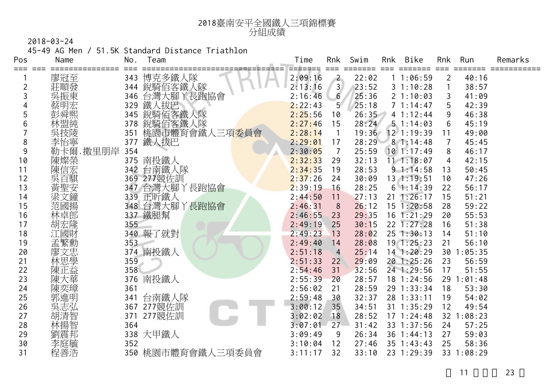

45-49 AG Men / 51.5K Standard Distance Triathlon

| Pos      | Name     | No.        | Team                                   | Time    | Rnk                      | Swim  | Rnk | Bike           | Rnk            | Run        | Remarks |
|----------|----------|------------|----------------------------------------|---------|--------------------------|-------|-----|----------------|----------------|------------|---------|
|          | 廖冠至      | 343        | 博克多鐵人隊                                 | 2:09:16 | $\mathbf{2}$             | 22:02 |     | 11:06:59       | 2              | 40:16      |         |
|          | 莊順發      | 344        | 銳騎佰客鐵人隊                                | 2:13:16 | 3 <sup>l</sup>           | 23:52 |     | 31:10:28       | $\mathbf{1}$   | 38:57      |         |
| 3        | 吳振東      | 346        | 台灣大腳丫長跑協會                              | 2:16:46 | 6                        | 25:36 |     | 21:10:03       | 3              | 41:09      |         |
|          |          | 329        | 鐵人拔巴                                   | 2:22:43 | 5 <sup>7</sup>           | 25:18 |     | 71:14:47       | 5              | 42:39      |         |
| 5        |          | 345        | 銳騎佰客鐵人隊                                | 2:25:56 | 10                       | 26:35 |     | 41:12:44       | 9              | 46:38      |         |
| 6        | 林盟純      | 378        | 銳騎佰客鐵人隊<br>桃園市體育會鐵人三項 <mark>委員會</mark> | 2:27:46 | 15                       | 28:24 |     | 51:14:03       | 6              | 45:19      |         |
|          | 吳技陵      | 351        |                                        | 2:28:14 | $\overline{\phantom{a}}$ | 19:36 |     | $12$ 1:19:39   | 11             | 49:00      |         |
| 8        | 李怡寧      | 377        | 鐵人拔巴                                   | 2:29:01 | 17                       | 28:29 |     | 81:14:48       | $\overline{7}$ | 45:45      |         |
| 9        | 勒卡爾.撒里朋岸 | 354        |                                        | 2:30:05 | $\overline{7}$           | 25:59 |     | 101:17:49      | 8              | 46:17      |         |
| 10       | 陳燦榮      |            | 375 南投鐵人                               | 2:32:33 | 29                       | 32:13 |     | $11 \t1:18:07$ | 4              | 42:15      |         |
| 11       | 陳信宏      |            | 342 台南鐵人隊                              | 2:34:35 | 19                       | 28:53 |     | 91:14:58       | 13             | 50:45      |         |
| 12       | 吳百騏      |            | 369 277競佐訓                             | 2:37:26 | 24                       | 30:09 |     | 13 1:19:51     | 10             | 47:26      |         |
| 13       | 黃聖安      |            | 347 台灣大腳丫長跑協會                          | 2:39:19 | 16                       | 28:25 |     | 61:14:39       | 22             | 56:17      |         |
| 14       | 梁文鐘      |            | 339 正昕鐵人                               | 2:44:50 | 11                       | 27:13 |     | $21 \t1:26:17$ | 15             | 51:21      |         |
| 15       | 范國揚      |            | 348 台灣大腳丫長跑協會                          | 2:46:31 | 8                        | 26:12 |     | $15$ $1:20:58$ | 28             | 59:22      |         |
| 16       | 林卓郎      |            | 337 鐵腿幫                                | 2:46:55 | 23                       | 29:35 |     | $16$ 1:21:29   | 20             | 55:53      |         |
| 17       | 胡宏隆      | 355        |                                        | 2:49:19 | 25                       | 30:15 |     | 22 1:27:28     | 16             | 51:38      |         |
| 18       | 江國財      |            | 340 報了就對                               | 2:49:23 | 13                       | 28:02 |     | 251:30:13      | 14             | 51:10      |         |
| 19       | 孟繁勳      | 353        |                                        | 2:49:40 | 14                       | 28:08 |     | $19$ 1:25:23   | 21             | 56:10      |         |
| 20       | 文忠<br>廖  | 374        | 南投鐵人                                   | 2:51:18 | $\overline{4}$           | 25:14 |     | 14 1:20:29     | 30             | 1:05:35    |         |
| 21       | 林思學      | 359        |                                        | 2:51:33 | 22                       | 29:09 |     | 20 1:25:26     | 23             | 56:59      |         |
| 22       | 陳正益      | 358        |                                        | 2:54:46 | 31                       | 32:56 |     | 24 1:29:56     | 17             | 51:55      |         |
| 23       | 陳大華      | 376        | 南投鐵人                                   | 2:55:39 | 20                       | 28:57 |     | 18 1:24:56     |                | 29 1:01:48 |         |
| 24       | 陳奕璋      | 361        |                                        | 2:56:02 | 21                       | 28:59 |     | 29 1:33:34     | 18             | 53:30      |         |
| 25       | 郭進明      | 341        | 台南鐵人隊                                  | 2:59:48 | 30                       | 32:37 |     | 28 1:33:11     | 19             | 54:02      |         |
| 26       | 吳志弘      | 367        | 277競佐訓                                 | 3:00:12 | 35 <sup>°</sup>          | 34:51 |     | 31 1:35:29     | 12             | 49:54      |         |
| 27       | 胡清智      | 371<br>364 | 277競佐訓                                 | 3:02:02 | 18                       | 28:52 |     | $17 \t1:24:48$ |                | 32 1:08:23 |         |
| 28       | 林揚智      |            |                                        | 3:07:01 | 27                       | 31:42 |     | 33 1:37:56     | 24             | 57:25      |         |
| 29       | 劉震邦      | 338        | 大甲鐵人                                   | 3:09:49 | 9                        | 26:34 |     | $36 \t1:44:13$ | 27             | 59:03      |         |
| 30<br>31 | 李庭毓      | 352        |                                        | 3:10:04 | 12                       | 27:46 |     | $35$ 1:43:43   | 25             | 58:36      |         |
|          | 程善浩      |            | 350 桃園市體育會鐵人三項委員會                      | 3:11:17 | 32                       | 33:10 |     | 23 1:29:39     |                | 33 1:08:29 |         |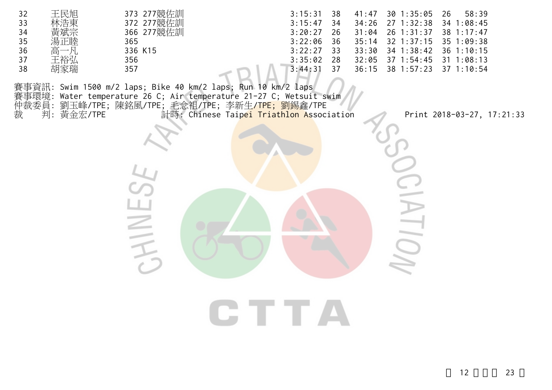| 王民旭<br>32<br>33<br>34<br>35<br>湯正睦<br>36<br>高一凡<br>王裕弘<br>37<br>胡家瑞<br>38 | 373 277競佐訓<br>372 277競佐訓<br>366 277競佐訓<br>365<br>336 K15<br>356<br>357                                                                                                                            | 3:15:31<br>38<br>3:15:47<br>34<br>3:20:27<br>26<br>3:22:06<br>36<br>3:22:27<br>33<br>3:35:02<br>28<br>3:44:31<br>37 | 41:47<br>34:26<br>31:04<br>35:14<br>33:30<br>32:05<br>36:15 | $30$ 1:35:05<br>27 1:32:38<br>26 1:31:37<br>32 1:37:15<br>34 1:38:42<br>37 1:54:45<br>38 1:57:23 | 58:39<br>26<br>34 1:08:45<br>38 1:17:47<br>35 1:09:38<br>36 1:10:15<br>$31 \t1:08:13$<br>37 1:10:54 |  |
|---------------------------------------------------------------------------|---------------------------------------------------------------------------------------------------------------------------------------------------------------------------------------------------|---------------------------------------------------------------------------------------------------------------------|-------------------------------------------------------------|--------------------------------------------------------------------------------------------------|-----------------------------------------------------------------------------------------------------|--|
| 仲裁委員:<br>裁<br>判: 黃金宏/TPE                                                  | 賽事資訊: Swim 1500 m/2 laps; Bike 40 km/2 laps; Run 10 km/2 laps<br>事環境: Water temperature 26 C; Air temperature 21-27 C; Wetsuit swim<br>劉玉峰/TPE; 陳銘風/TPE; 毛念祖/TPE; 李新生 <mark>/TPE; 劉錫</mark> 鑫/TPE | 計時: Chinese Taipei Triathlon Association                                                                            |                                                             |                                                                                                  | Print 2018-03-27, 17:21:33                                                                          |  |
|                                                                           |                                                                                                                                                                                                   |                                                                                                                     |                                                             |                                                                                                  |                                                                                                     |  |
|                                                                           |                                                                                                                                                                                                   |                                                                                                                     |                                                             | $\equiv$                                                                                         |                                                                                                     |  |
|                                                                           |                                                                                                                                                                                                   | CTTA                                                                                                                |                                                             |                                                                                                  |                                                                                                     |  |
|                                                                           |                                                                                                                                                                                                   |                                                                                                                     |                                                             |                                                                                                  |                                                                                                     |  |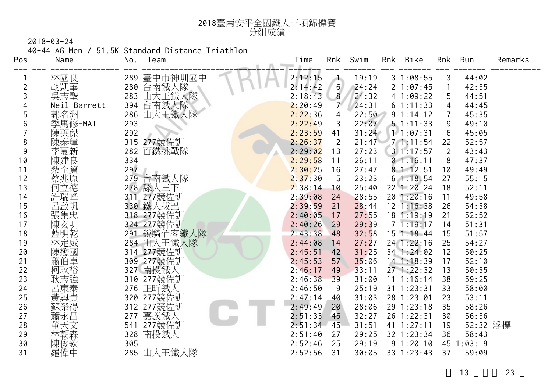

40-44 AG Men / 51.5K Standard Distance Triathlon

| Pos<br>=== === | Name         | No. | Team        | Time         | Rnk              | Swim  | Rnk | Bike           | Rnk            | Run      | Remarks |
|----------------|--------------|-----|-------------|--------------|------------------|-------|-----|----------------|----------------|----------|---------|
|                | 林國良          |     | 289 臺中市神圳國中 | 2:12:15      | 木                | 19:19 |     | 31:08:55       | 3              | 44:02    |         |
| 2              | 胡凱華          |     | 280 台南鐵人隊   | 2:14:42      | $6 \overline{6}$ | 24:24 |     | 21:07:45       | $\mathbf{1}$   | 42:35    |         |
| 3              | 吳志聖          |     | 283 山大王鐵人隊  | 2:18:43      | 8                | 24:32 |     | 41:09:22       | 5              | 44:51    |         |
| 4              | Neil Barrett |     | 394 台南鐵人隊   | 2:20:49      | $7^{\circ}$      | 24:31 |     | 61:11:33       | 4              | 44:45    |         |
| 5              | 郭名洲          |     | 286 山大王鐵人隊  | 2:22:36      | 4                | 22:50 |     | 91:14:12       | 7              | 45:35    |         |
| 6              | 季馬修-MAT      | 293 |             | 2:22:49      | 3                | 22:07 |     | $5 \t1:11:33$  | 9              | 49:10    |         |
|                | 陳英傑          | 292 |             | 2:23:59      | 41               | 31:24 |     | 1 1:07:31      | 6              | 45:05    |         |
| 8              | 陳泰璋          |     | 315 277競佐訓  | 2:26:37      | 2                | 21:47 |     | 71:11:54       | 22             | 52:57    |         |
| 9              | 李夏新          | 282 | 百鐵挑戰隊       | 2:29:02      | 13               | 27:23 |     | 131:17:57      | $\overline{2}$ | 43:43    |         |
| 10             | 陳建良          | 334 |             | 2:29:58      | 11               | 26:11 |     | $10$ 1:16:11   | 8              | 47:37    |         |
| 11             | 桑全賢          | 297 |             | 2:30:25      | 16               | 27:47 |     | 81:12:51       | 10             | 49:49    |         |
| 12             | 蔡兆原          | 279 | 台南鐵人隊       | 2:37:30      | 5                | 23:23 |     | $16$ 1:18:54   | 27             | 55:15    |         |
| 13             | 何立德          |     | 278 舔人三下    | 2:38:14      | 10               | 25:40 |     | 22 1:20:24     | 18             | 52:11    |         |
| 14             | 許瑞峰          | 311 | 277競佐訓      | 2:39:08      | 24               | 28:55 |     | 201:20:16      | 11             | 49:58    |         |
| 15             | 呂啟帆          |     | 330 鐵人拔巴    | 2:39:59      | 21               | 28:44 |     | $12$ 1:16:38   | 26             | 54:38    |         |
| 16             | 張集忠          |     | 318 277競佐訓  | 2:40:05      | 17               | 27:55 |     | 18 1:19:19     | 21             | 52:52    |         |
| 17             | 陳玄明          |     | 324 277競佐訓  | 2:40:26      | 29               | 29:39 |     | 171:19:17      | 14             | 51:31    |         |
| 18             | 藍明乾          |     | 291 銳騎佰客鐵人隊 | 2:43:38      | 48               | 32:58 |     | $15$ 1:18:44   | 15             | 51:57    |         |
| 19             | 林定威          |     | 284 山大王鐵人隊  | 2:44:08      | 14               | 27:27 |     | 24 1:22:16     | 25             | 54:27    |         |
| 20             | 陳懋國          |     | 314 277競佐訓  | 2:45:51      | 42               | 31:25 |     | 34 1:24:02     | 12             | 50:25    |         |
| 21             | 蕭伯卓          |     | 309 277競佐訓  | 2:45:53      | 57               | 35:06 |     | 14 1:18:39     | 17             | 52:10    |         |
| 22             | 柯耿裕          |     | 327 南投鐵人    | 2:46:17      | 49               | 33:11 |     | $27 \t1:22:32$ | 13             | 50:35    |         |
| 23             | 耿志強          |     | 310 277競佐訓  | 2:46:38      | 39               | 31:00 |     | 11 1:16:14     | 38             | 59:25    |         |
| 24             | 呂東泰          |     | 276 正昕鐵人    | 2:46:50      | 9                | 25:19 |     | $31$ $1:23:31$ | 33             | 58:00    |         |
| 25             | 黃興貴          |     | 320 277競佐訓  | 2:47:14      | 40               | 31:03 |     | 28 1:23:01     | 23             | 53:11    |         |
| 26             | 蘇榮得          |     | 312 277競佐訓  | 2:49:49      | 20               | 28:06 |     | 29 1:23:18     | 35             | 58:26    |         |
| 27             | 蕭永昌          | 277 | 嘉義鐵人        | 2:51:33      | 46               | 32:27 |     | 26 1:22:31     | 30             | 56:36    |         |
| 28             | 董天文          |     | 541 277競佐訓  | $2:51:34$ 45 |                  | 31:51 |     | 41 1:27:11     | 19             | 52:32 浮標 |         |
| 29             | 林朝森          | 328 | 南投鐵人        | 2:51:40      | 27               | 29:25 |     | 32 1:23:34     | 36             | 58:43    |         |
| 30             | 陳俊欽          | 305 |             | 2:52:46      | 25               | 29:19 |     | 191:20:10      | 45             | 1:03:19  |         |
| 31             | 羅偉中          |     | 285 山大王鐵人隊  | 2:52:56      | 31               | 30:05 |     | 33 1:23:43     | 37             | 59:09    |         |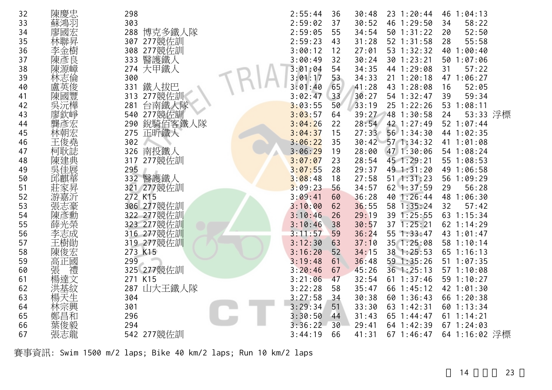| 32 | 陳慶忠     | 298            | 2:55:44 | 36 | 30:48 | 23 1:20:44     | 46 1:04:13     |
|----|---------|----------------|---------|----|-------|----------------|----------------|
| 33 | 蘇鴻羽     | 303            | 2:59:02 | 37 | 30:52 | 46 1:29:50     | 58:22<br>34    |
| 34 | 國宏<br>廖 | 博克多鐵人隊<br>288  | 2:59:05 | 55 | 34:54 | 50 1:31:22     | 20<br>52:50    |
| 35 | 林聯昇     | 277競佐訓<br>307  | 2:59:23 | 43 | 31:28 | 52 1:31:58     | 55:58<br>28    |
| 36 | 李金樹     | 308 277競佐訓     | 3:00:12 | 12 | 27:01 | 53 1:32:32     | 40 1:00:40     |
| 37 | 陳彥良     | 醫護鐵人<br>333    | 3:00:49 | 32 | 30:24 | 30 1:23:21     | 50 1:07:06     |
| 38 | 陳源嶂     | 大甲鐵人<br>274    | 3:01:04 | 54 | 34:35 | 44 1:29:08     | 31<br>57:22    |
| 39 |         | 300            | 3:01:17 | 53 | 34:33 | $21 \t1:20:18$ | 47 1:06:27     |
| 40 | 盧英俊     | 鐵人拔巴<br>331    | 3:01:40 | 65 | 41:28 | 43 1:28:08     | 16<br>52:05    |
| 41 | 陳國豐     | 277競佐訓<br>313  | 3:02:47 | 33 | 30:27 | 54 1:32:47     | 39<br>59:34    |
| 42 |         | 台南鐵人隊<br>281   | 3:03:55 | 50 | 33:19 | 25 1:22:26     | 53 1:08:11     |
| 43 |         | 540 277競佐訓     | 3:03:57 | 64 | 39:27 | 48 1:30:58     | 53:33 浮標<br>24 |
| 44 |         | 銳騎佰客鐵人隊<br>290 | 3:04:26 | 22 | 28:54 | 42 1:27:49     | 52 1:07:44     |
| 45 |         | 275 正昕鐵人       | 3:04:37 | 15 | 27:33 | 56 1:34:30     | 44 1:02:35     |
| 46 |         | 302            | 3:06:22 | 35 | 30:42 | 571:34:32      | 41 1:01:08     |
| 47 | 柯耿      | 南投鐵人<br>326    | 3:06:29 | 19 | 28:00 | 47 1:30:06     | 54 1:08:24     |
| 48 |         | 277競佐訓<br>317  | 3:07:07 | 23 | 28:54 | 45 1:29:21     | 55 1:08:53     |
| 49 |         | 295            | 3:07:55 | 28 | 29:37 | 49 1:31:20     | 49 1:06:58     |
| 50 | 邱麒華     | 醫護鐵人<br>332    | 3:08:48 | 18 | 27:58 | $51$ $1:31:23$ | 56 1:09:29     |
| 51 | 莊家昇     | 321 277競佐訓     | 3:09:23 | 56 | 34:57 | 62 1:37:59     | 56:28<br>29    |
| 52 | 游嘉沂     | 272 K15        | 3:09:41 | 60 | 36:28 | 40 1:26:44     | 48 1:06:30     |
| 53 |         | 306 277競佐訓     | 3:10:00 | 62 | 36:55 | 58 1:35:24     | 32<br>57:42    |
| 54 |         | 322 277競佐訓     | 3:10:46 | 26 | 29:19 | 39 1:25:55     | 63 1:15:34     |
| 55 | 薛光榮     | 323 277競佐訓     | 3:10:46 | 38 | 30:57 | 37 1:25:21     | 62 1:14:29     |
| 56 |         | 316 277競佐訓     | 3:11:57 | 59 | 36:24 | 55 1:33:47     | 43 1:01:47     |
| 57 | 王樹勛     | 319 277競佐訓     | 3:12:30 | 63 | 37:10 | 35 1:25:08     | 58 1:10:14     |
| 58 | 陳俊宏     | 273 K15        | 3:16:20 | 52 | 34:15 | 38 1:25:53     | 65 1:16:13     |
| 59 |         | 299            | 3:19:48 | 61 | 36:48 | 59 1:35:26     | 51 1:07:35     |
| 60 | 高正禮     | 325 277競佐訓     | 3:20:46 | 67 | 45:26 | 36 1:25:13     | 571:10:08      |
| 61 | 楊達文     | 271 K15        | 3:21:06 | 47 | 32:54 | 61 1:37:46     | 59 1:10:27     |
| 62 |         | 山大王鐵人隊<br>287  | 3:22:28 | 58 | 35:47 | 66 1:45:12     | 42 1:01:30     |
| 63 |         | 304            | 3:27:58 | 34 | 30:38 | 60 1:36:43     | 66 1:20:38     |
| 64 | 林宗興     | 301            | 3:29:34 | 51 | 33:30 | 63 1:42:31     | 60 1:13:34     |
| 65 |         | 296            | 3:30:50 | 44 | 31:43 | 65 1:44:47     | $61$ 1:14:21   |
| 66 |         | 294            | 3:36:22 | 30 | 29:41 | 64 1:42:39     | $67$ 1:24:03   |
| 67 | 張志龍     | 542 277競佐訓     | 3:44:19 | 66 | 41:31 | 67 1:46:47     | 64 1:16:02 浮標  |

賽事資訊: Swim 1500 m/2 laps; Bike 40 km/2 laps; Run 10 km/2 laps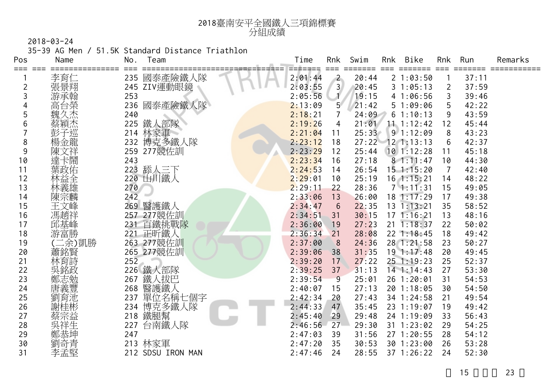

35-39 AG Men / 51.5K Standard Distance Triathlon

| Pos | Name     | No.              | Team              | Time    | Rnk          | Swim  | Rnk | Bike           | Rnk            | Run   | Remarks |
|-----|----------|------------------|-------------------|---------|--------------|-------|-----|----------------|----------------|-------|---------|
| === | 李育仁      |                  | 235 國泰產險鐵人隊       | 2:01:44 | $\mathbf{2}$ | 20:44 |     | 21:03:50       |                | 37:11 |         |
| 2   | 張景翔      |                  | 245 ZIV運動眼鏡       | 2:03:55 | 3            | 20:45 |     | 31:05:13       | $\overline{2}$ | 37:59 |         |
| 3   | 游承翰      | 253              |                   | 2:05:56 | Æ            | 19:15 |     | 41:06:56       | 3              | 39:46 |         |
|     | 高台榮      | 236              | 國泰產險鐵人隊           | 2:13:09 | $5^{\circ}$  | 21:42 |     | 51:09:06       | 5              | 42:22 |         |
| 5   | 魏久杰      | 240              |                   | 2:18:21 | 7            | 24:09 |     | 61:10:13       | 9              | 43:59 |         |
| 6   | 蔡穎杰      | 225              | 鐵人部隊              | 2:19:26 | 4            | 21:01 |     | 11.1:12:42     | 12             | 45:44 |         |
|     | 彭子巡      | 214              | 林家軍               | 2:21:04 | 11           | 25:33 |     | 91:12:09       | 8              | 43:23 |         |
| 8   | .<br>楊金龍 | 232              | 博克多鐵人隊            | 2:23:12 | 18           | 27:22 |     | $12$ 1:13:13   | 6              | 42:37 |         |
| 9   | 陳文祥      |                  | 259 277競佐訓        | 2:23:29 | 12           | 25:44 |     | $10$ 1:12:28   | 11             | 45:18 |         |
| 10  | 達卡鬧      | 243              |                   | 2:23:34 | 16           | 27:18 |     | 81:11:47       | 10             | 44:30 |         |
| 11  | 葉政佑      |                  | 223 舔人三下          | 2:24:53 | 14           | 26:54 |     | $15$ 1:15:20   | 7              | 42:40 |         |
| 12  | 林益全      |                  | 220 山川鐵人          | 2:29:01 | 10           | 25:19 |     | $16$ 1:15:21   | 14             | 48:22 |         |
| 13  | 林義雄      | 270              |                   | 2:29:11 | 22           | 28:36 |     | 71:11:31       | 15             | 49:05 |         |
| 14  | 陳宗麟      | 242              |                   | 2:33:06 | 13           | 26:00 |     | $18$ 1:17:29   | 17             | 49:38 |         |
| 15  | 王文峰      |                  | 269 醫護鐵人          | 2:34:47 | 6            | 22:35 |     | $13 \t1:13:21$ | 35             | 58:52 |         |
| 16  | 馮趙祥      |                  | 257 277競佐訓        | 2:34:51 | 31           | 30:15 |     | 171:16:21      | 13             | 48:16 |         |
| 17  | 邱基峰      |                  | 231 百鐵挑戰隊         | 2:36:00 | 19           | 27:23 |     | $21 \t1:18:37$ | 22             | 50:02 |         |
| 18  | 游富勝      |                  | 221 正昕鐵人          | 2:36:34 | 21           | 28:08 |     | $22 \t1:18:45$ | 18             | 49:42 |         |
| 19  | 二余)凱勝    |                  | 263 277 競佐訓       | 2:37:00 | 8            | 24:36 |     | 28 1:21:58     | 23             | 50:27 |         |
| 20  | 蕭銘賢      |                  | 265 277 競佐訓       | 2:39:06 | 38           | 31:35 |     | 191:17:48      | 20             | 49:45 |         |
| 21  | 林育詩      | $25\overline{2}$ |                   | 2:39:20 | 17           | 27:22 |     | $25 \t1:19:23$ | 25             | 52:37 |         |
| 22  | 吳銘政      |                  | 226 鐵人部隊          | 2:39:25 | 37           | 31:13 |     | $14$ 1:14:43   | 27             | 53:30 |         |
| 23  | 鄭志勉      | 267              | 鐵人拔巴              | 2:39:54 | 9            | 25:01 |     | 26 1:20:01     | 31             | 54:53 |         |
| 24  | 唐義豐      | 268              | 醫護鐵人              | 2:40:07 | 15           | 27:13 |     | 20 1:18:05     | 30             | 54:50 |         |
| 25  | 劉育池      | 237              | 單位名稱七個字           | 2:42:34 | 20           | 27:43 |     | 34 1:24:58     | 21             | 49:54 |         |
| 26  | 謝桂彬      |                  | 234 博克多鐵人隊        | 2:44:33 | 47           | 35:45 |     | 23 1:19:07     | 19             | 49:42 |         |
| 27  | 蔡宗益      |                  | 218 鐵腿幫           | 2:45:40 | 29           | 29:48 |     | 24 1:19:09     | 33             | 56:43 |         |
| 28  | 吳祥生      | 227              | 台南鐵人隊             | 2:46:56 | $27 -$       | 29:30 |     | $31$ 1:23:02   | 29             | 54:25 |         |
| 29  |          | 247              |                   | 2:47:03 | 39           | 31:56 |     | 27 1:20:55     | 28             | 54:12 |         |
| 30  | 劉奇青      |                  | 213 林家軍           | 2:47:20 | 35           | 30:53 |     | 30 1:23:00     | 26             | 53:28 |         |
| 31  | 李孟堅      |                  | 212 SDSU IRON MAN | 2:47:46 | 24           | 28:55 |     | 37 1:26:22     | 24             | 52:30 |         |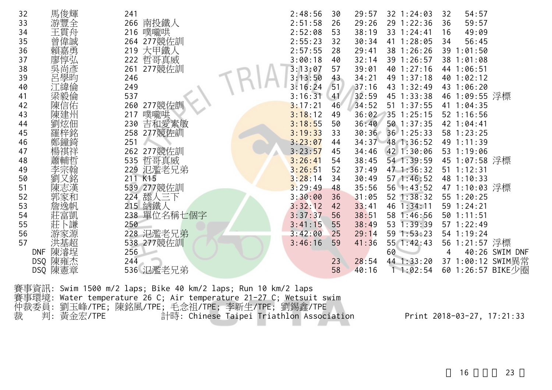| 馬俊輝<br>32             | 241           | 2:48:56<br>32 1:24:03<br>54:57<br>29:57<br>32<br>30   |
|-----------------------|---------------|-------------------------------------------------------|
| 游豐全<br>33             | 南投鐵人<br>266   | 2:51:58<br>29:26<br>29 1:22:36<br>59:57<br>26<br>36   |
| 王貫舟<br>34             | 216 噗嚨哄       | 2:52:08<br>38:19<br>33 1:24:41<br>49:09<br>53<br>16   |
| 曾偉誠<br>35             | 264 277 競佐訓   | 2:55:23<br>41 1:28:05<br>32<br>56:45<br>30:34<br>34   |
| 賴嘉勇<br>36             | 大甲鐵人<br>219   | 2:57:55<br>28<br>38 1:26:26<br>39 1:01:50<br>29:41    |
| 廖惇弘<br>37             | 哲哥真威<br>222   | 39 1:26:57<br>3:00:18<br>40<br>32:14<br>38 1:01:08    |
| 38                    | 277競佐訓<br>261 | 3:13:07<br>57<br>39:01<br>40 1:27:16<br>44 1:06:51    |
| )<br>吳尚彥<br>呂學昀<br>39 | 246           | 43<br>49 1:37:18<br>40 1:02:12<br>3:13:50<br>34:21    |
| 江緯倫<br>40             | 249           | 3:16:24<br>51<br>43 1:32:49<br>43 1:06:20<br>37:16    |
| 梁毅倫<br>41             | 537           | 46 1:09:55 浮標<br>3:16:31<br>32:59<br>45 1:33:38<br>41 |
| 陳信佑<br>42             | 277競佐訓<br>260 | 34:52<br>51 1:37:55<br>41 1:04:35<br>3:17:21<br>46    |
| 陳建州<br>43             | 噗嚨哄<br>217    | 3:18:12<br>36:02<br>35 1:25:15<br>52 1:16:56<br>49    |
| 劉炫佃<br>44             | 吉和愛素敏<br>230  | 50 1:37:35<br>3:18:55<br>36:40<br>42 1:04:41<br>50    |
| 45                    | 277競佐訓<br>258 | 3:19:33<br>30:36<br>36 1:25:33<br>58 1:23:25<br>33    |
| 鄭鐘錡<br>46             | 251           | 3:23:07<br>48 1:36:52<br>49 1:11:39<br>34:37<br>44    |
| 場祺祥<br>47             | 277競佐訓<br>262 | 3:23:57<br>34:46<br>42 1:30:06<br>53 1:19:06<br>45    |
| 48                    | 哲哥真威<br>535   | 54 1:39:59<br>45 1:07:58 浮標<br>3:26:41<br>54<br>38:45 |
| 李宗翰<br>49             | 氾濫老兄弟<br>229  | 3:26:51<br>47 1:36:32<br>51 1:12:31<br>52<br>37:49    |
| 又銘<br>50              | K15<br>211    | 57 1:46:52<br>48 1:10:33<br>3:28:14<br>34<br>30:49    |
| 陳志漢<br>51             | 277競佐訓<br>539 | 47 1:10:03 浮標<br>3:29:49<br>48<br>35:56<br>56 1:43:52 |
| 郭家和<br>52             | 舔人三下<br>224   | 52 1:38:32<br>55 1:20:25<br>3:30:00<br>36<br>31:05    |
| 詹逸帆<br>53             | 215 納鐵人       | 3:32:12<br>46 1:34:11<br>59 1:24:21<br>42<br>33:41    |
| 莊富凱<br>54             | 238 單位名稱七個字   | 3:37:37<br>56<br>38:51<br>58 1:46:56<br>50 1:11:51    |
| 莊下謙<br>55             | 250           | 3:41:15<br>53 1:39:39<br>55<br>38:49<br>57 1:22:49    |
| 游家源<br>56             | 228 氾濫老兄弟     | 3:42:00<br>59 1:53:23<br>29:14<br>54 1:19:24<br>25    |
| 洪基超<br>57             | 538 277 競佐訓   | 56 1:21:57 浮標<br>3:46:16<br>59<br>55 1:42:43<br>41:36 |
| 陳濬埕<br><b>DNF</b>     | 256           | 60<br>40:26 SWIM DNF                                  |
| 陳雍杰<br>DSQ            | 244           | 37 1:00:12 SWIM異常<br>44 1:33:20<br>23<br>28:54        |
| 陳憲章<br>DSQ            | 536 氾濫老兄弟     | 60 1:26:57 BIKE少圈<br>58<br>40:16<br>11:02:54          |

賽事資訊: Swim 1500 m/2 laps; Bike 40 km/2 laps; Run 10 km/2 laps 賽事環境: Water temperature 26 C; Air temperature 21-27 C; Wetsuit swim 仲裁委員: 劉玉峰/TPE; 陳銘風/TPE; 毛念祖/TPE; 李新生/TPE; 劉錫鑫/TPE 裁 判: 黃金宏/TPE 計時: Chinese Taipei Triathlon Association Print 2018-03-27, 17:21:33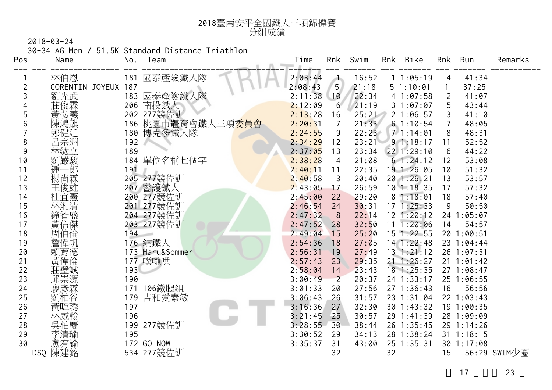

30-34 AG Men / 51.5K Standard Distance Triathlon

| Pos<br>=== | Name                | No. | Team                            | Time    | Rnk            | Swim  | <b>Rnk</b> | Bike           | Rnk | Run          | Remarks      |
|------------|---------------------|-----|---------------------------------|---------|----------------|-------|------------|----------------|-----|--------------|--------------|
|            | 林伯恩                 | 181 | 國泰產險鐵人隊                         | 2:03:44 | a ka           | 16:52 |            | 11:05:19       | 4   | 41:34        |              |
| 2          | CORENTIN JOYEUX 187 |     |                                 | 2:08:43 | 5              | 21:18 |            | 51:10:01       |     | 37:25        |              |
| 3          | 劉光武                 | 183 | 國泰產險鐵人隊                         | 2:11:38 | 10             | 22:34 |            | 41:07:58       | 2   | 41:07        |              |
|            | 莊俊霖                 |     | 206 南投鐵人                        | 2:12:09 | $6^{\circ}$    | 21:19 |            | 31:07:07       | 5   | 43:44        |              |
| 5          | 黃弘義                 |     | 202 277競佐訓                      | 2:13:28 | 16             | 25:21 |            | 21:06:57       |     | 41:10        |              |
| 6          | 陳鴻麒                 |     | 186 桃園市體育會鐵人三項 <mark>委員會</mark> | 2:20:31 | 7              | 21:33 |            | 61:10:54       | 7   | 48:05        |              |
|            | 鄭健廷                 | 180 | 博克多鐵人隊                          | 2:24:55 | 9              | 22:23 |            | 71:14:01       | 8   | 48:31        |              |
| 8          | 呂宗洲                 | 192 |                                 | 2:34:29 | 12             | 23:21 |            | 91:18:17       | 11  | 52:52        |              |
| 9          | 林紘立                 | 189 |                                 | 2:37:05 | 13             | 23:34 |            | 22 1:29:10     | 6   | 44:22        |              |
| 10         | 劉嚴駿                 | 184 | 單位名稱七個字                         | 2:38:28 | 4              | 21:08 |            | $16$ 1:24:12   | 12  | 53:08        |              |
| 11         | 鍾一<br>一良阝           | 191 |                                 | 2:40:11 | 11             | 22:35 |            | 191:26:05      | 10  | 51:32        |              |
| 12         | 楊尚霖                 |     | 205 277競佐訓                      | 2:40:58 | 3              | 20:40 |            | 20 1:26:21     | 13  | 53:57        |              |
| 13         | 王俊雄                 | 207 | 醫護鐵人                            | 2:43:05 | 17             | 26:59 |            | $10$ 1:18:35   | 17  | 57:32        |              |
| 14         | 杜宜憲                 |     | 200 277競佐訓                      | 2:45:00 | 22             | 29:20 |            | 81:18:01       | 18  | 57:40        |              |
| 15         | 林湘清                 |     | 201 277競佐訓                      | 2:46:54 | 24             | 30:31 |            | $17 \t1:25:33$ | 9   | 50:50        |              |
| 16         | 鐘智盛                 |     | 204 277競佐訓                      | 2:47:32 | 8              | 22:14 |            | 12 1:20:12     |     | 24 1:05:07   |              |
| 17         | 黃信傑                 |     | 203 277競佐訓                      | 2:47:52 | 28             | 32:50 |            | $11 \t1:20:06$ | 14  | 54:57        |              |
| 18         | 周伯倫                 | 194 | -                               | 2:49:04 | 15             | 25:20 |            | $15$ 1:22:55   |     | 20 1:00:51   |              |
| 19         | 詹偉帆                 |     | 176 納鐵人                         | 2:54:36 | 18             | 27:05 |            | 14 1:22:48     |     | 23 1:04:44   |              |
| 20         | 賴育德                 |     | 173 Haru&Sommer                 | 2:56:31 | 19             | 27:49 |            | $13$ $1:21:12$ |     | 26 1:07:31   |              |
| 21         | 黃偉倫                 |     | 177 噗嚨哄                         | 2:57:43 | 23             | 29:35 |            | $21 \t1:26:27$ |     | 21 1:01:42   |              |
| 22         | 莊璧誠                 | 193 |                                 | 2:58:04 | 14             | 23:43 |            | $18$ 1:25:35   |     | 271:08:47    |              |
| 23         | 邱崇源                 | 190 |                                 | 3:00:49 | $\overline{2}$ | 20:37 |            | 24 1:33:17     |     | 25 1:06:55   |              |
| 24         | 廖彥霖                 | 171 | 106鐵腿組                          | 3:01:33 | 20             | 27:56 |            | 271:36:43      | 16  | 56:56        |              |
| 25         | 劉柏谷                 | 179 | 吉和愛素敏                           | 3:06:43 | 26             | 31:57 |            | 23 1:31:04     |     | 22 1:03:43   |              |
| 26         | 黃暐琇                 | 197 |                                 | 3:16:36 | 27             | 32:30 |            | 30 1:43:32     |     | 19 1:00:35   |              |
| 27         | 林威翰                 | 196 |                                 | 3:21:45 | 25             | 30:57 |            | 29 1:41:39     |     | 28 1:09:09   |              |
| 28         |                     | 199 | 277競佐訓                          | 3:28:55 | 30             | 38:44 |            | 26 1:35:45     |     | 29 1:14:26   |              |
| 29         | 李清瑜                 | 195 |                                 | 3:30:52 | 29             | 34:13 |            | 28 1:38:24     |     | $31$ 1:18:15 |              |
| 30         | 盧宥諭                 |     | 172 GO NOW                      | 3:35:37 | 31             | 43:00 |            | 25 1:35:31     |     | 30 1:17:08   |              |
|            | DSQ 陳建銘             |     | 534 277競佐訓                      |         | 32             |       | 32         |                | 15  |              | 56:29 SWIM少圈 |
|            |                     |     |                                 |         |                |       |            |                |     |              |              |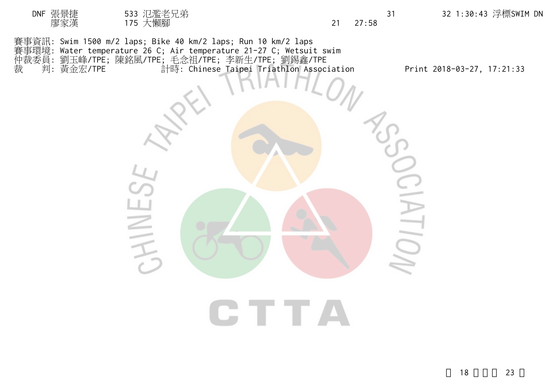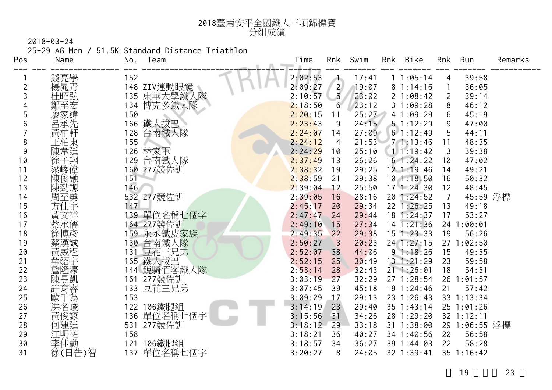

25-29 AG Men / 51.5K Standard Distance Triathlon

| Pos | Name   | No. | Team        | Time    | Rnk            | Swim  | Rnk | Bike           | Rnk            | Run           | Remarks |
|-----|--------|-----|-------------|---------|----------------|-------|-----|----------------|----------------|---------------|---------|
|     | 錢亮學    | 152 |             | 2:02:53 | a.             | 17:41 |     | 11:05:14       | 4              | 39:58         |         |
| 2   | 楊晁青    |     | 148 ZIV運動眼鏡 | 2:09:27 | $\overline{2}$ | 19:07 |     | 81:14:16       | $\mathbf{1}$   | 36:05         |         |
| 3   | 杜昭弘    |     | 135 東華大學鐵人隊 | 2:10:57 | 5              | 23:02 |     | 21:08:42       | $\overline{2}$ | 39:14         |         |
|     | 鄭至宏    | 134 | 博克多鐵人隊      | 2:18:50 | $6^{\circ}$    | 23:12 |     | 31:09:28       | 8              | 46:12         |         |
| 5   | 寥家緯    | 150 |             | 2:20:15 | 11             | 25:27 |     | 41:09:29       | 6              | 45:19         |         |
| 6   | 呂承先    | 166 | 鐵人拔巴        | 2:23:43 | 9              | 24:15 |     | 51:12:29       | 9              | 47:00         |         |
|     | 黃柏軒    | 128 | 台南鐵人隊       | 2:24:07 | 14             | 27:09 |     | 61:12:49       | 5              | 44:11         |         |
| 8   | 王柏東    | 155 |             | 2:24:12 | 4              | 21:53 |     | 71:13:46       | 11             | 48:35         |         |
| 9   | 陳韋廷    |     | 126 林家軍     | 2:24:29 | 10             | 25:10 |     | $11 \t1:19:42$ | 3              | 39:38         |         |
| 10  | 徐子翔    | 129 | 台南鐵人隊       | 2:37:49 | 13             | 26:26 |     | $16$ 1:24:22   | 10             | 47:02         |         |
| 11  | 梁峻偉    |     | 160 277競佐訓  | 2:38:32 | - 19           | 29:25 |     | $12 \t1:19:46$ | 14             | 49:21         |         |
| 12  | 陳俊融    | 151 |             | 2:38:59 | 21             | 29:38 |     | 101:18:50      | 16             | 50:32         |         |
| 13  | 陳勁羱    | 146 |             | 2:39:04 | 12             | 25:50 |     | 171:24:30      | 12             | 48:45         |         |
| 14  | 周至勇    |     | 532 277競佐訓  | 2:39:05 | 16             | 28:16 |     | 20 1:24:52     | 7              | 45:59 浮標      |         |
| 15  | 方仕宇    | 147 |             | 2:45:17 | 20             | 29:34 |     | 22 1:26:25     | 13             | 49:18         |         |
| 16  | 黃文祥    |     | 139 單位名稱七個字 | 2:47:47 | 24             | 29:44 |     | 18 1:24:37     | 17             | 53:27         |         |
| 17  | 蔡承儒    |     | 164 277競佐訓  | 2:49:10 | 15             | 27:34 |     | $14$ 1:21:36   |                | 24 1:00:01    |         |
| 18  | 徐博彥    |     | 159 永丞鐵皮家族  | 2:49:35 | 22             | 29:38 |     | $15 \t1:23:33$ | 19             | 56:26         |         |
| 19  | 蔡漢誠    |     | 130 台南鐵人隊   | 2:50:27 | $\overline{3}$ | 20:23 |     | 24 1:27:15     |                | 271:02:50     |         |
| 20  | 黃威程    |     | 131 豆花三兄弟   | 2:52:07 | 38             | 44:06 |     | 91:18:26       | 15             | 49:35         |         |
| 21  |        |     | 165 鐵人拔巴    | 2:52:15 | 25             | 30:49 |     | $13 \t1:21:29$ | 23             | 59:58         |         |
| 22  | 詹隆濠    |     | 144 銳騎佰客鐵人隊 | 2:53:14 | 28             | 32:43 |     | $21 \t1:26:01$ | 18             | 54:31         |         |
| 23  | 陳昱凱    |     | 161 277競佐訓  | 3:03:19 | 27             | 32:29 |     | 27 1:28:54     |                | 26 1:01:57    |         |
| 24  | 許育睿    |     | 133 豆花三兄弟   | 3:07:45 | 39             | 45:18 |     | 19 1:24:46     | 21             | 57:42         |         |
| 25  | 歐千為    | 153 |             | 3:09:29 | 17             | 29:13 |     | 23 1:26:43     |                | 33 1:13:34    |         |
| 26  | 洪名峻    | 122 | 106鐵腿組      | 3:14:19 | 23             | 29:40 |     | 35 1:43:14     |                | $25$ 1:01:26  |         |
| 27  | 黃俊諺    | 136 | 單位名稱七個字     | 3:15:56 | 31             | 34:26 |     | 28 1:29:20     |                | 32 1:12:11    |         |
| 28  | 何建廷    | 531 | 277競佐訓      | 3:18:12 | 29             | 33:18 |     | 31 1:38:00     |                | 29 1:06:55 浮標 |         |
| 29  | 江明祐    | 158 |             | 3:18:21 | 36             | 40:27 |     | 34 1:40:56     | 20             | 56:58         |         |
| 30  | 李佳勳    | 121 | 106鐵腿組      | 3:18:57 | 34             | 36:27 |     | 39 1:44:03     | 22             | 58:28         |         |
| 31  | 徐(日告)智 | 137 | 單位名稱七個字     | 3:20:27 | 8              | 24:05 |     | 32 1:39:41     |                | 35 1:16:42    |         |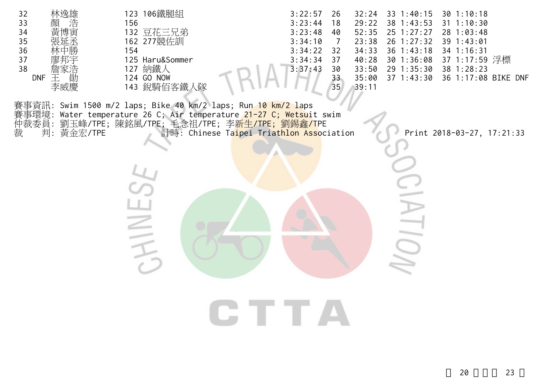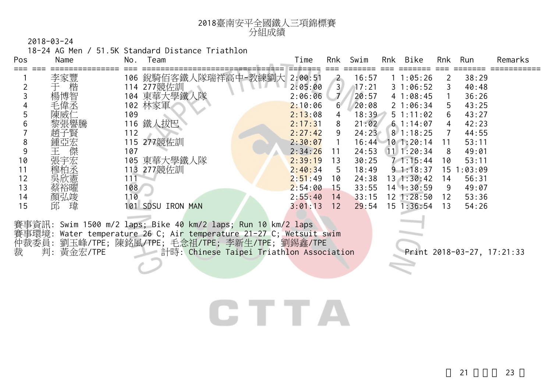

18-24 AG Men / 51.5K Standard Distance Triathlon

| Pos | Name   | No. | leam                    |            | Time    | Rnk            | Swim  | Rnk | Bike               | Rnk | Run     | Remarks |
|-----|--------|-----|-------------------------|------------|---------|----------------|-------|-----|--------------------|-----|---------|---------|
|     | 李家豐    | 106 | 銳騎佰客鐵                   | 隊瑞祥高中-教練劉大 | 2:00:51 | $\overline{2}$ | 16:57 |     | 11:05:26           | 2   | 38:29   |         |
|     | 楷      |     | 114 277競佐訓              |            | 2:05:00 | 3 <sup>1</sup> | 17:21 |     | 31:06:52           |     | 40:48   |         |
|     | 楊博智    |     | 104 東華大學鐵人隊             |            | 2:06:06 | $\overline{1}$ | 20:57 |     | 41:08:45           |     | 36:26   |         |
|     | 毛偉丞    |     | 102 林家軍                 |            | 2:10:06 | $6^{\circ}$    | 20:08 |     | $2 \; 1:06:34$     | 5   | 43:25   |         |
|     | 陳威仁    | 109 |                         |            | 2:13:08 | 4              | 18:39 |     | $5 \t1:11:02$      | 6   | 43:27   |         |
| b   | 黎張譽騰   |     | 116 鐵人拔巴                |            | 2:17:31 | 8              | 21:02 |     | 61:14:07           | 4   | 42:23   |         |
|     | 趙子賢    | 112 |                         |            | 2:27:42 | 9              | 24:23 |     | $8 \t1:18:25$      |     | 44:55   |         |
| 8   | 鍾亞宏    |     | 115 277競佐訓              |            | 2:30:07 |                | 16:44 |     | $10$ 1:20:14       |     | 53:11   |         |
|     | 傑      | 107 |                         |            | 2:34:26 | 11             | 24:53 |     | $11 \quad 1:20:34$ | 8   | 49:01   |         |
| 10  | 張宇宏    |     | 105 東華大學鐵人隊             |            | 2:39:19 | 13             | 30:25 |     | 71:15:44           | 10  | 53:11   |         |
| 11  | 穆柏丞    | 113 | 277競佐訓                  |            | 2:40:34 | 5              | 18:49 |     | $9 \t1:18:37$      | 15. | 1:03:09 |         |
| 12  | 吳欣憲    | 111 |                         |            | 2:51:49 | 10             | 24:38 |     | 131:30:42          | 14  | 56:31   |         |
| 13  | 蔡裕曜    | 108 |                         |            | 2:54:00 | 15             | 33:55 |     | $14$ 1:30:59       | 9   | 49:07   |         |
| 14  | 顏弘竣    | 110 |                         |            | 2:55:40 | 14             | 33:15 |     | $12 \; 1:28:50$    | 12  | 53:36   |         |
| 15  | 瑋<br>邱 | 101 | <b>SDSU</b><br>IRON MAN |            | 3:01:13 | 12             | 29:54 |     | $15 \t1:36:54$     | 13  | 54:26   |         |
|     |        |     |                         |            |         |                |       |     |                    |     |         |         |

賽事資訊: Swim 1500 m/2 laps; Bike 40 km/2 laps; Run 10 km/2 laps 賽事環境: Water temperature 26 C; Air temperature 21-27 C; Wetsuit swim 仲裁委員: 劉玉峰/TPE; 陳銘風/TPE; 毛念祖/TPE; 李新生/TPE; 劉錫鑫/TPE 裁 判: 黃金宏/TPE 計時: Chinese Taipei Triathlon Association Print 2018-03-27, 17:21:33

## CTTA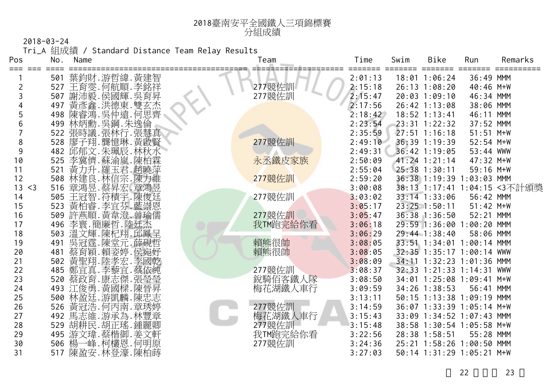Tri\_A 組成績 / Standard Distance Team Relay Results

<sup>2018</sup>臺南安平全國鐵人三項錦標賽

| Pos            | No. | Name                                      | Team     | Time    | Swim | Bike                      | Run         | Remarks                      |
|----------------|-----|-------------------------------------------|----------|---------|------|---------------------------|-------------|------------------------------|
| ===<br>===     | 501 | 葉鈞財.游哲緯.黃建智                               |          | 2:01:13 |      | 18:01 1:06:24             | 36:49 MMM   |                              |
| $\overline{2}$ | 527 |                                           | 277競佐訓   | 2:15:18 |      | 26:13 1:08:20             | 40:46 M+W   |                              |
| 3              | 507 | 王育雯.何航順.李銘祥<br>謝沛毅.侯國輝.吳育昇                | 277競佐訓   | 2:15:47 |      | 20:03 1:09:10             | 46:34 MMM   |                              |
|                | 497 |                                           |          | 2:17:56 |      | 26:42 1:13:08             | 38:06 MMM   |                              |
|                | 498 | #黃彥鑫.洪德東.雙玄杰<br>陳睿鴻.吳仲遠.何思齊<br>林炳勳.吳鋼.朱逸倫 |          | 2:18:42 |      | $18:52$ 1:13:41           | 46:11 MMM   |                              |
| 6              | 499 |                                           |          | 2:23:54 |      | 23:31 1:22:32             | 37:52 MMM   |                              |
|                |     | 522 張時議.張林行.張慧真                           |          | 2:35:59 |      | $27:51$ 1:16:18           | $51:51$ M+W |                              |
| 8              |     |                                           | 277競佐訓   | 2:49:10 |      | 36:39 1:19:39             | $52:54$ M+W |                              |
| 9              |     | 528 廖子翔. 龔憶琳. 黃啟賢<br>482 邱郁文. 朱珮辰. 林秋水    |          | 2:49:31 |      | 36:42 1:19:05             | 53:44 WWW   |                              |
| 10             | 525 | 李冀儕.蘇渝嵐.陳柏霖                               | 永丞鐵皮家族   | 2:50:09 |      | $41:24$ 1:21:14           | 47:32 M+W   |                              |
| 11             | 521 | 黃力升.羅玉君.趙曉萍                               |          | 2:55:04 |      | 25:38 1:30:11             | 59:16 M+W   |                              |
| 12             | 508 | 林建良 林信宗 陳力維                               | 277競佐訓   | 2:59:20 |      | 36:38 1:19:39 1:03:03 MMM |             |                              |
| 13<br>$<$ 3    | 516 | 章鴻昱.蔡昇宏.章鴻昱<br>王冠智.蒋積宇.陳俊廷                |          | 3:00:08 |      |                           |             | 38:13 1:17:41 1:04:15 <3不計頒獎 |
| 14             | 505 |                                           | 277競佐訓   | 3:03:02 |      | 33:14 1:33:06             | 56:42 MMM   |                              |
| 15             | 523 | 黃柏睿.李宜芬.藍崇恩                               |          | 3:05:17 |      | $23:25$ 1:50:11           | $51:42$ M+W |                              |
| 16             | 509 | 許燕順. 黃韋澄. 曾瑜儒                             | 277競佐訓   | 3:05:47 |      | 36:38 1:36:50             | 52:21 MMM   |                              |
| 17             | 496 | 李寰.簡廉哲.陸廷杰                                | 我TM跑完給你看 | 3:06:18 |      | 29:59 1:36:00 1:00:20 MMM |             |                              |
| 18             | 503 | 溫文輝.陳杞翔.邱鳳呈                               |          | 3:06:29 |      | 29:44 1:38:40             | 58:06 MMM   |                              |
| 19             | 491 | 吳冠霆.陳堂元.薛硯哲                               | 賴熊很帥     | 3:08:05 |      | 33:51 1:34:01 1:00:14 MMM |             |                              |
| 20             | 481 | 蔡育穎.賴姿婷.侯宛妤<br>黃聖翔.陸孝宏.李國乾                | 賴熊很帥     | 3:08:05 |      | 32:35 1:35:17 1:00:14 WWW |             |                              |
| 21             | 502 |                                           |          | 3:08:09 |      | 34:11 1:32:23 1:01:36 MMM |             |                              |
| 22             | 485 | 鄭宜真.李藜宜.蔡依純                               | 277競佐訓   | 3:08:37 |      | 32:33 1:21:33 1:14:31 WWW |             |                              |
| 23             | 520 | 蔡政育.康志傑.張瑩瑩                               | 銳騎佰客鐵人隊  | 3:08:50 |      | 34:01 1:25:08 1:09:41 M+W |             |                              |
| 24             |     | 493 江俊勇. 黃國樑. 陳晉昇                         | 梅花湖鐵人車行  | 3:09:59 |      | 34:26 1:38:53             | 56:41 MMM   |                              |
| 25             | 500 | 林盈廷.游凱麟.陳忠志                               |          | 3:13:11 |      | 50:15 1:13:38 1:09:19 MMM |             |                              |
| 26             | 526 | 黃冠浩.何丙南.章琇婷                               | 277競佐訓   | 3:14:59 |      | 36:07 1:33:39 1:05:14 M+W |             |                              |
| 27             |     | 492 馬志維 游承為 林豐章                           | 梅花湖鐵人車行  | 3:15:43 |      | 33:09 1:34:52 1:07:43 MMM |             |                              |
| 28             | 529 | 胡耕民.胡正瑤.鍾麗卿                               | 277競佐訓   | 3:15:48 |      | 38:58 1:30:54 1:05:58 M+W |             |                              |
| 29             | 495 | 游文瑋.蔡楷御.姜文軒                               | 我TM跑完給你看 | 3:22:56 |      | 28:38 1:58:51             | 55:28 MMM   |                              |
| 30             | 506 | 楊一峰.柯欉恩.何明原                               | 277競佐訓   | 3:24:36 |      | 25:21 1:58:26 1:00:50 MMM |             |                              |
| 31             |     | 517 陳盈安.林登濠.陳柏蒔                           |          | 3:27:03 |      | 50:14 1:31:29 1:05:21 M+W |             |                              |

分組成績